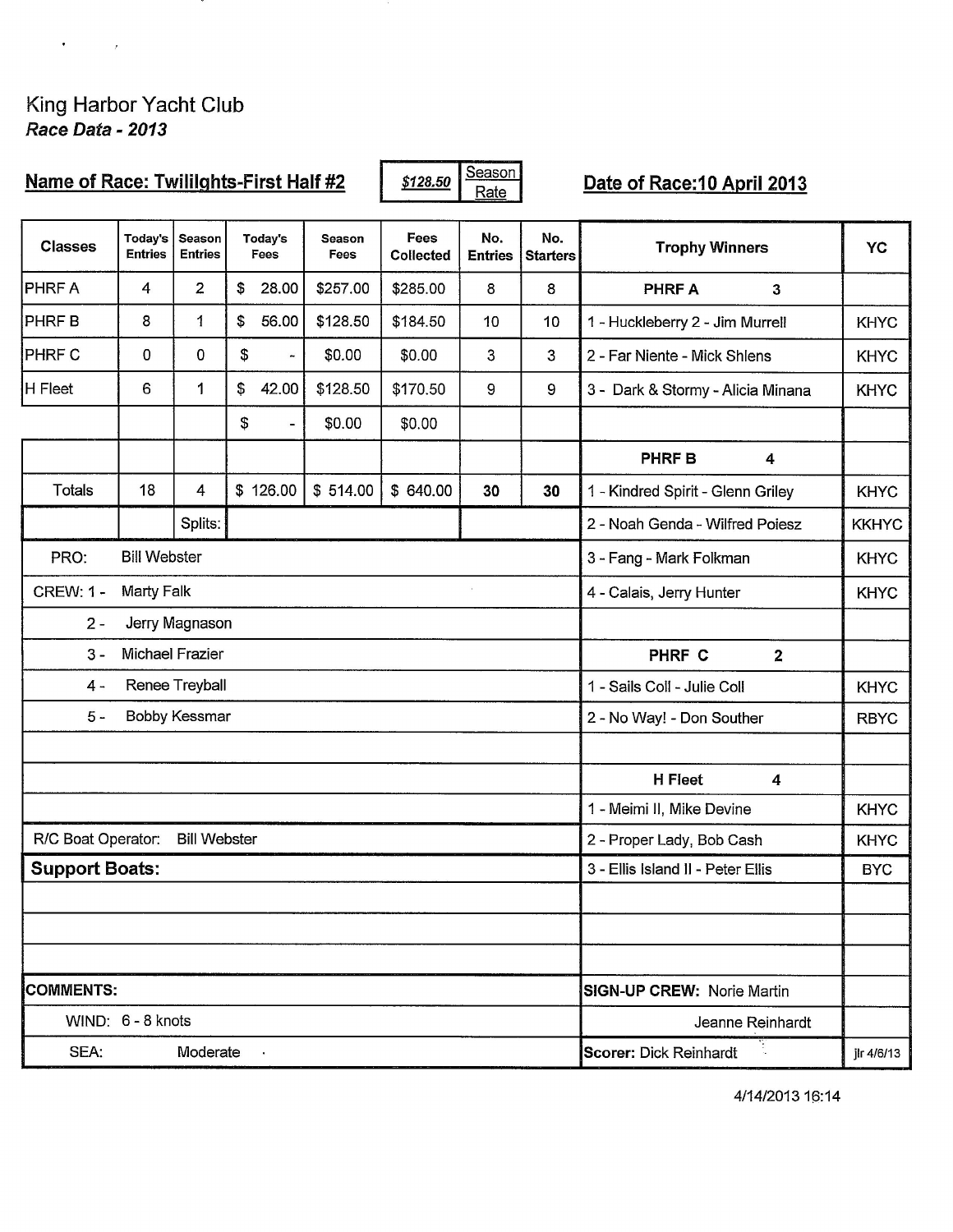King Harbor Yacht Club<br>Race Data - 2013

 $\mathcal{A}^{\mathcal{A}}$  , where  $\mathcal{A}^{\mathcal{A}}$  and  $\mathcal{A}^{\mathcal{A}}$ 

in Ma

| <b>Name of Race: Twililghts-First Half #2</b>             |                           |                          |    | \$128.50                     | Season<br>Rate |                          | Date of Race: 10 April 2013 |                             |                                   |              |  |  |
|-----------------------------------------------------------|---------------------------|--------------------------|----|------------------------------|----------------|--------------------------|-----------------------------|-----------------------------|-----------------------------------|--------------|--|--|
| <b>Classes</b>                                            | Today's<br><b>Entries</b> | Season<br><b>Entries</b> |    | Today's<br>Fees              | Season<br>Fees | Fees<br><b>Collected</b> | No.<br><b>Entries</b>       | No.<br><b>Starters</b>      | <b>Trophy Winners</b>             | <b>YC</b>    |  |  |
| <b>PHRFA</b>                                              | $\overline{4}$            | $\overline{2}$           | \$ | 28.00                        | \$257.00       | \$285.00                 | 8                           | 8                           | <b>PHRFA</b><br>$\mathbf{3}$      |              |  |  |
| <b>PHRFB</b>                                              | 8                         | $\mathbf{1}$             | \$ | 56.00                        | \$128.50       | \$184.50                 | 10                          | 10                          | 1 - Huckleberry 2 - Jim Murrell   | <b>KHYC</b>  |  |  |
| <b>PHRF C</b>                                             | 0                         | 0                        | \$ |                              | \$0.00         | \$0.00                   | 3                           | 3                           | 2 - Far Niente - Mick Shlens      | <b>KHYC</b>  |  |  |
| H Fleet                                                   | 6                         | 1                        | \$ | 42.00                        | \$128.50       | \$170.50                 | 9                           | 9                           | 3 - Dark & Stormy - Alicia Minana | <b>KHYC</b>  |  |  |
|                                                           |                           |                          | \$ | $\qquad \qquad \blacksquare$ | \$0.00         | \$0.00                   |                             |                             |                                   |              |  |  |
|                                                           |                           |                          |    |                              |                |                          |                             |                             | <b>PHRFB</b><br>4                 |              |  |  |
| <b>Totals</b>                                             | 18                        | 4                        |    | \$126.00                     | \$514.00       | \$640.00                 | 30                          | 30                          | 1 - Kindred Spirit - Glenn Griley | <b>KHYC</b>  |  |  |
|                                                           |                           | Splits:                  |    |                              |                |                          |                             |                             | 2 - Noah Genda - Wilfred Poiesz   | <b>KKHYC</b> |  |  |
| PRO:<br><b>Bill Webster</b><br>3 - Fang - Mark Folkman    |                           |                          |    |                              |                |                          |                             | <b>KHYC</b>                 |                                   |              |  |  |
| <b>CREW: 1 -</b><br><b>Marty Falk</b>                     |                           |                          |    |                              |                |                          | 4 - Calais, Jerry Hunter    | <b>KHYC</b>                 |                                   |              |  |  |
| $2 -$                                                     | Jerry Magnason            |                          |    |                              |                |                          |                             |                             |                                   |              |  |  |
| <b>Michael Frazier</b><br>$3 -$<br>PHRF C<br>$\mathbf{2}$ |                           |                          |    |                              |                |                          |                             |                             |                                   |              |  |  |
| Renee Treyball<br>$4 -$                                   |                           |                          |    |                              |                |                          |                             | 1 - Sails Coll - Julie Coll | <b>KHYC</b>                       |              |  |  |
| $5 -$<br><b>Bobby Kessmar</b>                             |                           |                          |    |                              |                |                          |                             |                             | 2 - No Way! - Don Souther         | <b>RBYC</b>  |  |  |
|                                                           |                           |                          |    |                              |                |                          |                             |                             |                                   |              |  |  |
|                                                           |                           |                          |    |                              |                |                          |                             |                             | <b>H</b> Fleet<br>4               |              |  |  |
|                                                           |                           |                          |    |                              |                |                          |                             |                             | 1 - Meimi II, Mike Devine         | <b>KHYC</b>  |  |  |
| R/C Boat Operator:                                        |                           | <b>Bill Webster</b>      |    |                              |                |                          |                             |                             | 2 - Proper Lady, Bob Cash         | <b>KHYC</b>  |  |  |
| <b>Support Boats:</b>                                     |                           |                          |    |                              |                |                          |                             |                             | 3 - Ellis Island II - Peter Ellis | <b>BYC</b>   |  |  |
|                                                           |                           |                          |    |                              |                |                          |                             |                             |                                   |              |  |  |
|                                                           |                           |                          |    |                              |                |                          |                             |                             |                                   |              |  |  |
|                                                           |                           |                          |    |                              |                |                          |                             |                             |                                   |              |  |  |
| <b>COMMENTS:</b>                                          |                           |                          |    |                              |                |                          |                             |                             | <b>SIGN-UP CREW: Norie Martin</b> |              |  |  |
| WIND: 6 - 8 knots                                         |                           |                          |    |                              |                |                          |                             |                             | Jeanne Reinhardt                  |              |  |  |
| SEA:                                                      |                           | Moderate                 |    | $\sim$                       |                |                          |                             |                             | <b>Scorer: Dick Reinhardt</b>     | jlr 4/6/13   |  |  |

4/14/2013 16:14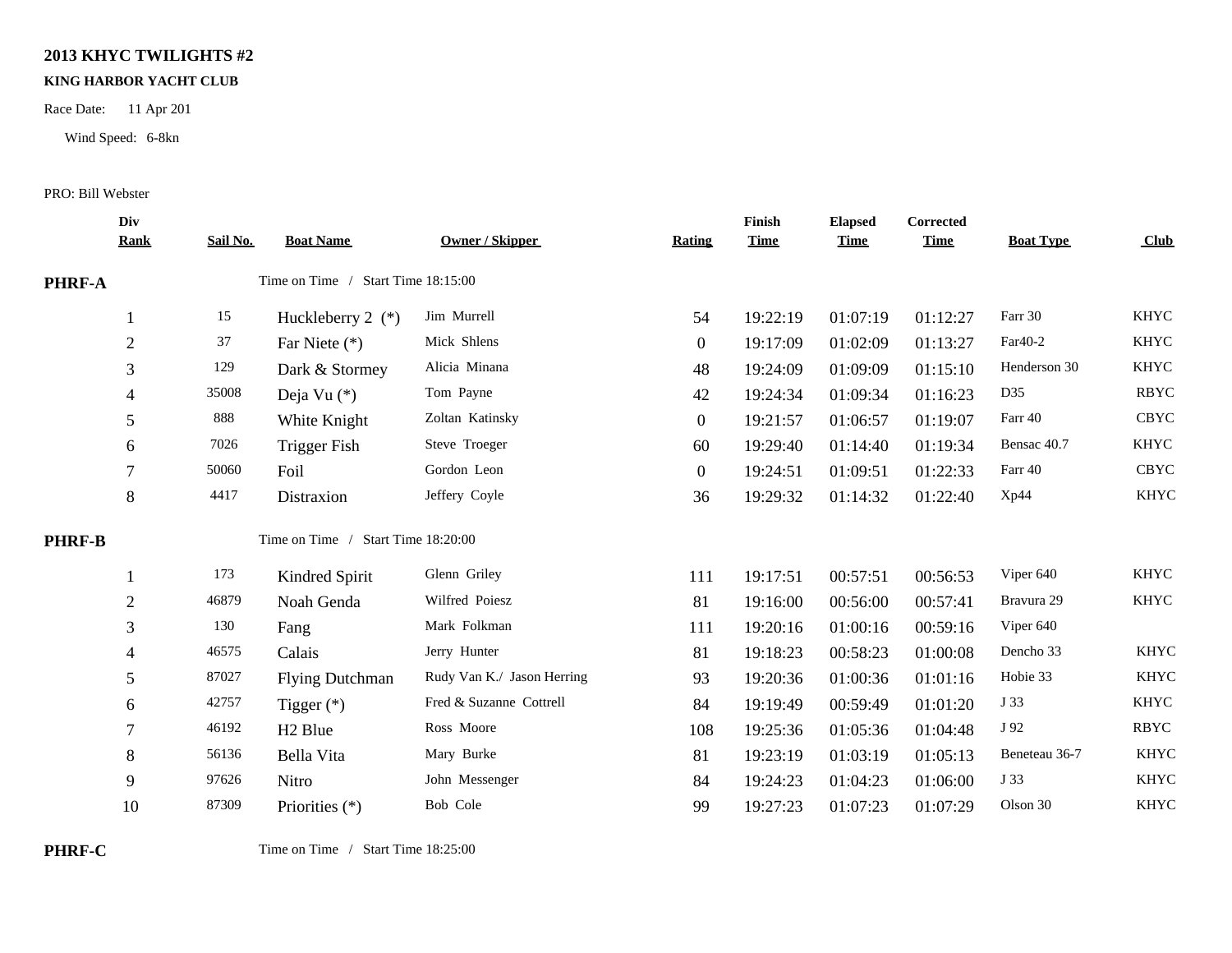## **2013 KHYC TWILIGHTS #2**

## **KING HARBOR YACHT CLUB**

Race Date: 11 Apr 201

Wind Speed: 6-8kn

## PRO: Bill Webster

|               | Div<br><b>Rank</b> | Sail No.                           | <b>Boat Name</b>                   | <b>Owner / Skipper</b>     | Rating           | Finish<br><b>Time</b> | <b>Elapsed</b><br><b>Time</b> | Corrected<br><b>Time</b> | <b>Boat Type</b> | Club        |
|---------------|--------------------|------------------------------------|------------------------------------|----------------------------|------------------|-----------------------|-------------------------------|--------------------------|------------------|-------------|
| <b>PHRF-A</b> |                    | Time on Time / Start Time 18:15:00 |                                    |                            |                  |                       |                               |                          |                  |             |
|               |                    | 15                                 | Huckleberry $2$ (*)                | Jim Murrell                | 54               | 19:22:19              | 01:07:19                      | 01:12:27                 | Farr 30          | <b>KHYC</b> |
|               | $\overline{2}$     | 37                                 | Far Niete (*)                      | Mick Shlens                | $\mathbf{0}$     | 19:17:09              | 01:02:09                      | 01:13:27                 | Far40-2          | <b>KHYC</b> |
|               | 3                  | 129                                | Dark & Stormey                     | Alicia Minana              | 48               | 19:24:09              | 01:09:09                      | 01:15:10                 | Henderson 30     | <b>KHYC</b> |
|               |                    | 35008                              | Deja Vu $(*)$                      | Tom Payne                  | 42               | 19:24:34              | 01:09:34                      | 01:16:23                 | D35              | <b>RBYC</b> |
|               | 5                  | 888                                | White Knight                       | Zoltan Katinsky            | $\mathbf{0}$     | 19:21:57              | 01:06:57                      | 01:19:07                 | Farr 40          | <b>CBYC</b> |
|               | 6                  | 7026                               | <b>Trigger Fish</b>                | Steve Troeger              | 60               | 19:29:40              | 01:14:40                      | 01:19:34                 | Bensac 40.7      | <b>KHYC</b> |
|               |                    | 50060                              | Foil                               | Gordon Leon                | $\boldsymbol{0}$ | 19:24:51              | 01:09:51                      | 01:22:33                 | Farr 40          | <b>CBYC</b> |
|               | 8                  | 4417                               | Distraxion                         | Jeffery Coyle              | 36               | 19:29:32              | 01:14:32                      | 01:22:40                 | Xp44             | <b>KHYC</b> |
| <b>PHRF-B</b> |                    |                                    | Time on Time / Start Time 18:20:00 |                            |                  |                       |                               |                          |                  |             |
|               |                    | 173                                | Kindred Spirit                     | Glenn Griley               | 111              | 19:17:51              | 00:57:51                      | 00:56:53                 | Viper 640        | <b>KHYC</b> |
|               | $\overline{2}$     | 46879                              | Noah Genda                         | Wilfred Poiesz             | 81               | 19:16:00              | 00:56:00                      | 00:57:41                 | Bravura 29       | <b>KHYC</b> |
|               | 3                  | 130                                | Fang                               | Mark Folkman               | 111              | 19:20:16              | 01:00:16                      | 00:59:16                 | Viper 640        |             |
|               | 4                  | 46575                              | Calais                             | Jerry Hunter               | 81               | 19:18:23              | 00:58:23                      | 01:00:08                 | Dencho 33        | <b>KHYC</b> |
|               | 5                  | 87027                              | <b>Flying Dutchman</b>             | Rudy Van K./ Jason Herring | 93               | 19:20:36              | 01:00:36                      | 01:01:16                 | Hobie 33         | <b>KHYC</b> |
|               | 6                  | 42757                              | Tigger $(*)$                       | Fred & Suzanne Cottrell    | 84               | 19:19:49              | 00:59:49                      | 01:01:20                 | J 33             | <b>KHYC</b> |
|               | 7                  | 46192                              | H <sub>2</sub> Blue                | Ross Moore                 | 108              | 19:25:36              | 01:05:36                      | 01:04:48                 | J 92             | <b>RBYC</b> |
|               | 8                  | 56136                              | Bella Vita                         | Mary Burke                 | 81               | 19:23:19              | 01:03:19                      | 01:05:13                 | Beneteau 36-7    | <b>KHYC</b> |
|               | 9                  | 97626                              | Nitro                              | John Messenger             | 84               | 19:24:23              | 01:04:23                      | 01:06:00                 | J 33             | <b>KHYC</b> |
|               | 10                 | 87309                              | Priorities (*)                     | Bob Cole                   | 99               | 19:27:23              | 01:07:23                      | 01:07:29                 | Olson 30         | <b>KHYC</b> |
|               |                    |                                    |                                    |                            |                  |                       |                               |                          |                  |             |